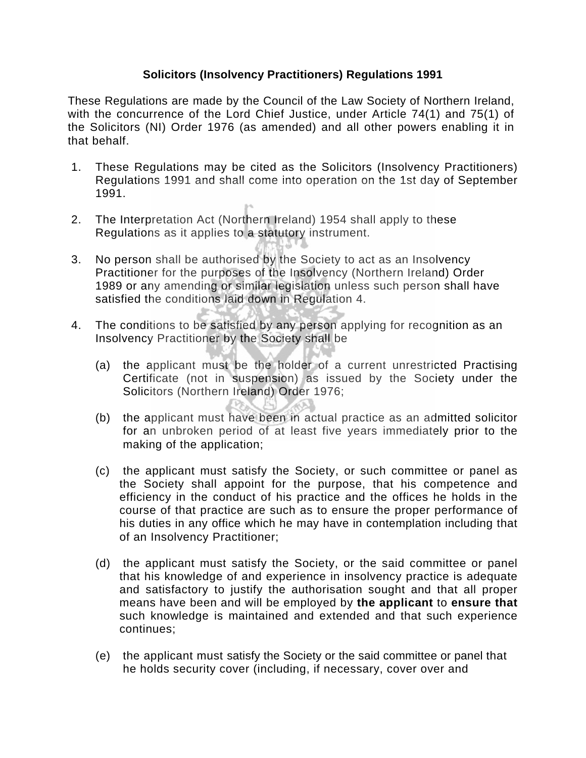## **Solicitors (Insolvency Practitioners) Regulations 1991**

These Regulations are made by the Council of the Law Society of Northern Ireland, with the concurrence of the Lord Chief Justice, under Article 74(1) and 75(1) of the Solicitors (NI) Order 1976 (as amended) and all other powers enabling it in that behalf.

- 1. These Regulations may be cited as the Solicitors (Insolvency Practitioners) Regulations 1991 and shall come into operation on the 1st day of September 1991.
- 2. The Interpretation Act (Northern Ireland) 1954 shall apply to these Regulations as it applies to a statutory instrument.
- 3. No person shall be authorised by the Society to act as an Insolvency Practitioner for the purposes of the Insolvency (Northern Ireland) Order 1989 or any amending or similar legislation unless such person shall have satisfied the conditions laid down in Regulation 4.
- 4. The conditions to be satisfied by any person applying for recognition as an Insolvency Practitioner by the Society shall be
	- (a) the applicant must be the holder of a current unrestricted Practising Certificate (not in suspension) as issued by the Society under the Solicitors (Northern Ireland) Order 1976;
	- (b) the applicant must have been in actual practice as an admitted solicitor for an unbroken period of at least five years immediately prior to the making of the application;
	- (c) the applicant must satisfy the Society, or such committee or panel as the Society shall appoint for the purpose, that his competence and efficiency in the conduct of his practice and the offices he holds in the course of that practice are such as to ensure the proper performance of his duties in any office which he may have in contemplation including that of an Insolvency Practitioner;
	- (d) the applicant must satisfy the Society, or the said committee or panel that his knowledge of and experience in insolvency practice is adequate and satisfactory to justify the authorisation sought and that all proper means have been and will be employed by **the applicant** to **ensure that**  such knowledge is maintained and extended and that such experience continues;
	- (e) the applicant must satisfy the Society or the said committee or panel that he holds security cover (including, if necessary, cover over and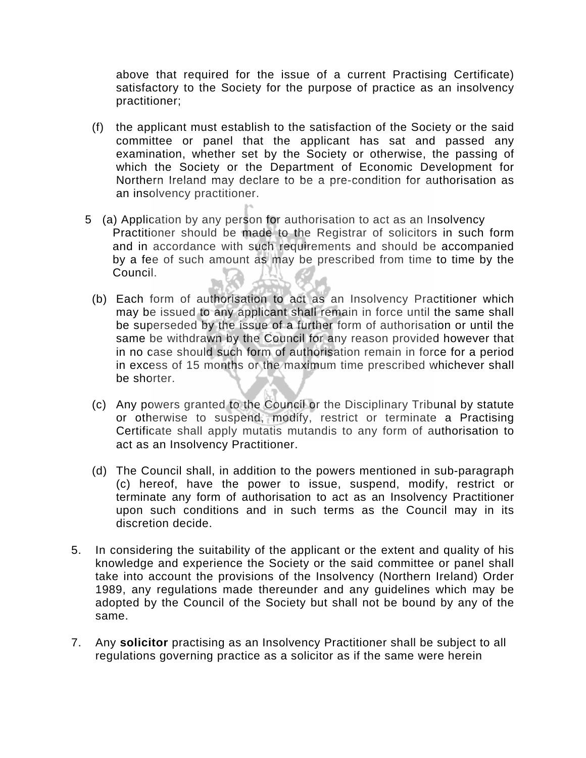above that required for the issue of a current Practising Certificate) satisfactory to the Society for the purpose of practice as an insolvency practitioner;

- (f) the applicant must establish to the satisfaction of the Society or the said committee or panel that the applicant has sat and passed any examination, whether set by the Society or otherwise, the passing of which the Society or the Department of Economic Development for Northern Ireland may declare to be a pre-condition for authorisation as an insolvency practitioner.
- 5 (a) Application by any person for authorisation to act as an Insolvency Practitioner should be made to the Registrar of solicitors in such form and in accordance with such requirements and should be accompanied by a fee of such amount as may be prescribed from time to time by the Council.
	- (b) Each form of authorisation to act as an Insolvency Practitioner which may be issued to any applicant shall remain in force until the same shall be superseded by the issue of a further form of authorisation or until the same be withdrawn by the Council for any reason provided however that in no case should such form of authorisation remain in force for a period in excess of 15 months or the maximum time prescribed whichever shall be shorter.
	- (c) Any powers granted to the Council or the Disciplinary Tribunal by statute or otherwise to suspend, modify, restrict or terminate a Practising Certificate shall apply mutatis mutandis to any form of authorisation to act as an Insolvency Practitioner.
	- (d) The Council shall, in addition to the powers mentioned in sub-paragraph (c) hereof, have the power to issue, suspend, modify, restrict or terminate any form of authorisation to act as an Insolvency Practitioner upon such conditions and in such terms as the Council may in its discretion decide.
- 5. In considering the suitability of the applicant or the extent and quality of his knowledge and experience the Society or the said committee or panel shall take into account the provisions of the Insolvency (Northern Ireland) Order 1989, any regulations made thereunder and any guidelines which may be adopted by the Council of the Society but shall not be bound by any of the same.
- 7. Any **solicitor** practising as an Insolvency Practitioner shall be subject to all regulations governing practice as a solicitor as if the same were herein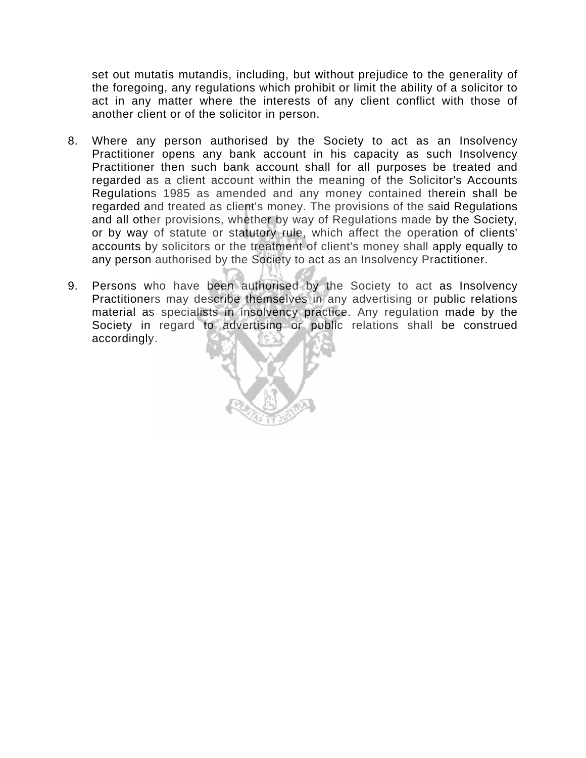set out mutatis mutandis, including, but without prejudice to the generality of the foregoing, any regulations which prohibit or limit the ability of a solicitor to act in any matter where the interests of any client conflict with those of another client or of the solicitor in person.

- 8. Where any person authorised by the Society to act as an Insolvency Practitioner opens any bank account in his capacity as such Insolvency Practitioner then such bank account shall for all purposes be treated and regarded as a client account within the meaning of the Solicitor's Accounts Regulations 1985 as amended and any money contained therein shall be regarded and treated as client's money. The provisions of the said Regulations and all other provisions, whether by way of Regulations made by the Society, or by way of statute or statutory rule, which affect the operation of clients' accounts by solicitors or the treatment of client's money shall apply equally to any person authorised by the Society to act as an Insolvency Practitioner.
- 9. Persons who have been authorised by the Society to act as Insolvency Practitioners may describe themselves in any advertising or public relations material as specialists in insolvency practice. Any regulation made by the Society in regard to advertising or public relations shall be construed accordingly.